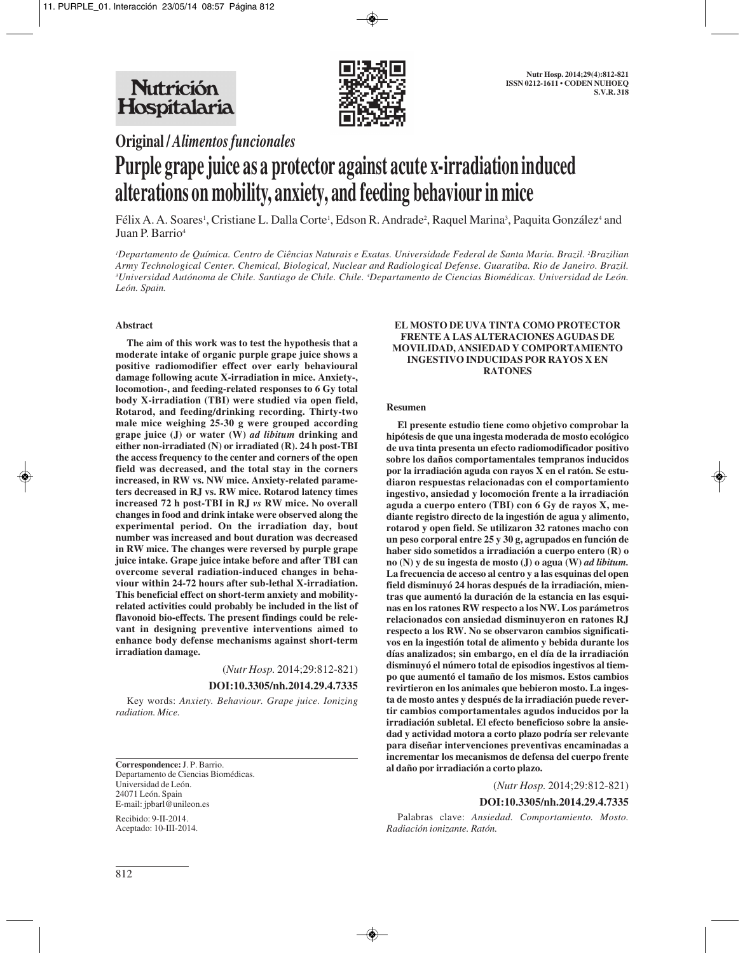

**Original /** *Alimentos funcionales*

# **Purple grape juice as a protector against acute x-irradiation induced alterations on mobility, anxiety, and feeding behaviour in mice**

Félix A. A. Soares<sup>1</sup>, Cristiane L. Dalla Corte<sup>1</sup>, Edson R. Andrade<sup>2</sup>, Raquel Marina<sup>3</sup>, Paquita González<sup>4</sup> and Juan P. Barrio<sup>4</sup>

*1 Departamento de Química. Centro de Ciências Naturais e Exatas. Universidade Federal de Santa Maria. Brazil. 2 Brazilian Army Technological Center. Chemical, Biological, Nuclear and Radiological Defense. Guaratiba. Rio de Janeiro. Brazil. 3 Universidad Autónoma de Chile. Santiago de Chile. Chile. 4 Departamento de Ciencias Biomédicas. Universidad de León. León. Spain.*

## **Abstract**

**The aim of this work was to test the hypothesis that a moderate intake of organic purple grape juice shows a positive radiomodifier effect over early behavioural damage following acute X-irradiation in mice. Anxiety-, locomotion-, and feeding-related responses to 6 Gy total body X-irradiation (TBI) were studied via open field, Rotarod, and feeding/drinking recording. Thirty-two male mice weighing 25-30 g were grouped according grape juice (J) or water (W)** *ad libitum* **drinking and either non-irradiated (N) or irradiated (R). 24 h post-TBI the access frequency to the center and corners of the open field was decreased, and the total stay in the corners increased, in RW vs. NW mice. Anxiety-related parameters decreased in RJ vs. RW mice. Rotarod latency times increased 72 h post-TBI in RJ** *vs* **RW mice. No overall changes in food and drink intake were observed along the experimental period. On the irradiation day, bout number was increased and bout duration was decreased in RW mice. The changes were reversed by purple grape juice intake. Grape juice intake before and after TBI can overcome several radiation-induced changes in behaviour within 24-72 hours after sub-lethal X-irradiation. This beneficial effect on short-term anxiety and mobilityrelated activities could probably be included in the list of flavonoid bio-effects. The present findings could be relevant in designing preventive interventions aimed to enhance body defense mechanisms against short-term irradiation damage.**

(*Nutr Hosp.* 2014;29:812-821)

**DOI:10.3305/nh.2014.29.4.7335**

Key words: *Anxiety. Behaviour. Grape juice. Ionizing radiation. Mice.*

**Correspondence:** J. P. Barrio. Departamento de Ciencias Biomédicas. Universidad de León. 24071 León. Spain E-mail: jpbarl@unileon.es

Recibido: 9-II-2014. Aceptado: 10-III-2014.

#### **EL MOSTO DE UVA TINTA COMO PROTECTOR FRENTE A LAS ALTERACIONES AGUDAS DE MOVILIDAD, ANSIEDAD Y COMPORTAMIENTO INGESTIVO INDUCIDAS POR RAYOS X EN RATONES**

#### **Resumen**

**El presente estudio tiene como objetivo comprobar la hipótesis de que una ingesta moderada de mosto ecológico de uva tinta presenta un efecto radiomodificador positivo sobre los daños comportamentales tempranos inducidos por la irradiación aguda con rayos X en el ratón. Se estudiaron respuestas relacionadas con el comportamiento ingestivo, ansiedad y locomoción frente a la irradiación aguda a cuerpo entero (TBI) con 6 Gy de rayos X, mediante registro directo de la ingestión de agua y alimento, rotarod y open field. Se utilizaron 32 ratones macho con un peso corporal entre 25 y 30 g, agrupados en función de haber sido sometidos a irradiación a cuerpo entero (R) o no (N) y de su ingesta de mosto (J) o agua (W)** *ad libitum.* **La frecuencia de acceso al centro y a las esquinas del open field disminuyó 24 horas después de la irradiación, mientras que aumentó la duración de la estancia en las esquinas en los ratones RW respecto a los NW. Los parámetros relacionados con ansiedad disminuyeron en ratones RJ respecto a los RW. No se observaron cambios significativos en la ingestión total de alimento y bebida durante los días analizados; sin embargo, en el día de la irradiación disminuyó el número total de episodios ingestivos al tiempo que aumentó el tamaño de los mismos. Estos cambios revirtieron en los animales que bebieron mosto. La ingesta de mosto antes y después de la irradiación puede revertir cambios comportamentales agudos inducidos por la irradiación subletal. El efecto beneficioso sobre la ansiedad y actividad motora a corto plazo podría ser relevante para diseñar intervenciones preventivas encaminadas a incrementar los mecanismos de defensa del cuerpo frente al daño por irradiación a corto plazo.**

#### (*Nutr Hosp.* 2014;29:812-821)

## **DOI:10.3305/nh.2014.29.4.7335**

Palabras clave: *Ansiedad. Comportamiento. Mosto. Radiación ionizante. Ratón.*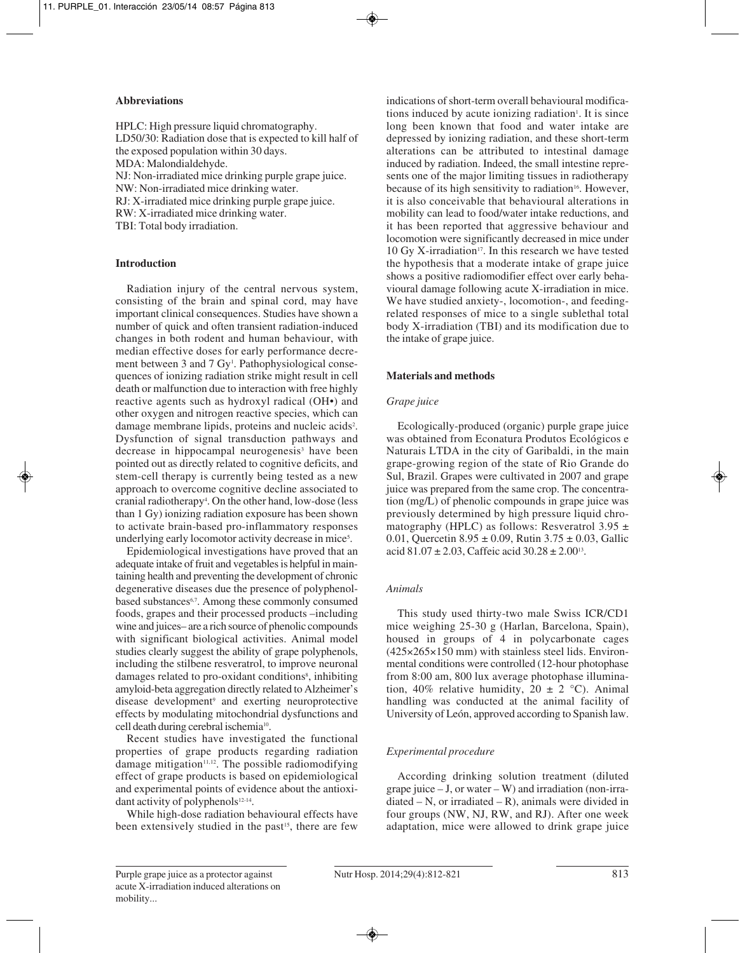## **Abbreviations**

HPLC: High pressure liquid chromatography. LD50/30: Radiation dose that is expected to kill half of the exposed population within 30 days. MDA: Malondialdehyde. NJ: Non-irradiated mice drinking purple grape juice. NW: Non-irradiated mice drinking water. RJ: X-irradiated mice drinking purple grape juice.

RW: X-irradiated mice drinking water.

TBI: Total body irradiation.

# **Introduction**

Radiation injury of the central nervous system, consisting of the brain and spinal cord, may have important clinical consequences. Studies have shown a number of quick and often transient radiation-induced changes in both rodent and human behaviour, with median effective doses for early performance decrement between 3 and 7 Gy<sup>1</sup>. Pathophysiological consequences of ionizing radiation strike might result in cell death or malfunction due to interaction with free highly reactive agents such as hydroxyl radical (OH•) and other oxygen and nitrogen reactive species, which can damage membrane lipids, proteins and nucleic acids<sup>2</sup>. Dysfunction of signal transduction pathways and decrease in hippocampal neurogenesis<sup>3</sup> have been pointed out as directly related to cognitive deficits, and stem-cell therapy is currently being tested as a new approach to overcome cognitive decline associated to cranial radiotherapy4 . On the other hand, low-dose (less than 1 Gy) ionizing radiation exposure has been shown to activate brain-based pro-inflammatory responses underlying early locomotor activity decrease in mice<sup>5</sup>.

Epidemiological investigations have proved that an adequate intake of fruit and vegetables is helpful in maintaining health and preventing the development of chronic degenerative diseases due the presence of polyphenolbased substances<sup>6,7</sup>. Among these commonly consumed foods, grapes and their processed products –including wine and juices– are a rich source of phenolic compounds with significant biological activities. Animal model studies clearly suggest the ability of grape polyphenols, including the stilbene resveratrol, to improve neuronal damages related to pro-oxidant conditions<sup>8</sup>, inhibiting amyloid-beta aggregation directly related to Alzheimer's disease development<sup>9</sup> and exerting neuroprotective effects by modulating mitochondrial dysfunctions and cell death during cerebral ischemia<sup>10</sup>.

Recent studies have investigated the functional properties of grape products regarding radiation damage mitigation $11,12$ . The possible radiomodifying effect of grape products is based on epidemiological and experimental points of evidence about the antioxidant activity of polyphenols<sup>12-14</sup>.

While high-dose radiation behavioural effects have been extensively studied in the past<sup>15</sup>, there are few

indications of short-term overall behavioural modifications induced by acute ionizing radiation<sup>1</sup>. It is since long been known that food and water intake are depressed by ionizing radiation, and these short-term alterations can be attributed to intestinal damage induced by radiation. Indeed, the small intestine represents one of the major limiting tissues in radiotherapy because of its high sensitivity to radiation<sup>16</sup>. However, it is also conceivable that behavioural alterations in mobility can lead to food/water intake reductions, and it has been reported that aggressive behaviour and locomotion were significantly decreased in mice under 10 Gy X-irradiation<sup>17</sup>. In this research we have tested the hypothesis that a moderate intake of grape juice shows a positive radiomodifier effect over early behavioural damage following acute X-irradiation in mice. We have studied anxiety-, locomotion-, and feedingrelated responses of mice to a single sublethal total body X-irradiation (TBI) and its modification due to the intake of grape juice.

## **Materials and methods**

## *Grape juice*

Ecologically-produced (organic) purple grape juice was obtained from Econatura Produtos Ecológicos e Naturais LTDA in the city of Garibaldi, in the main grape-growing region of the state of Rio Grande do Sul, Brazil. Grapes were cultivated in 2007 and grape juice was prepared from the same crop. The concentration (mg/L) of phenolic compounds in grape juice was previously determined by high pressure liquid chromatography (HPLC) as follows: Resveratrol  $3.95 \pm$ 0.01, Quercetin  $8.95 \pm 0.09$ , Rutin  $3.75 \pm 0.03$ , Gallic acid  $81.07 \pm 2.03$ , Caffeic acid  $30.28 \pm 2.00^{13}$ .

## *Animals*

This study used thirty-two male Swiss ICR/CD1 mice weighing 25-30 g (Harlan, Barcelona, Spain), housed in groups of 4 in polycarbonate cages (425×265×150 mm) with stainless steel lids. Environmental conditions were controlled (12-hour photophase from 8:00 am, 800 lux average photophase illumination, 40% relative humidity,  $20 \pm 2$  °C). Animal handling was conducted at the animal facility of University of León, approved according to Spanish law.

# *Experimental procedure*

According drinking solution treatment (diluted grape juice – J, or water – W) and irradiation (non-irra $diated - N$ , or irradiated  $- R$ ), animals were divided in four groups (NW, NJ, RW, and RJ). After one week adaptation, mice were allowed to drink grape juice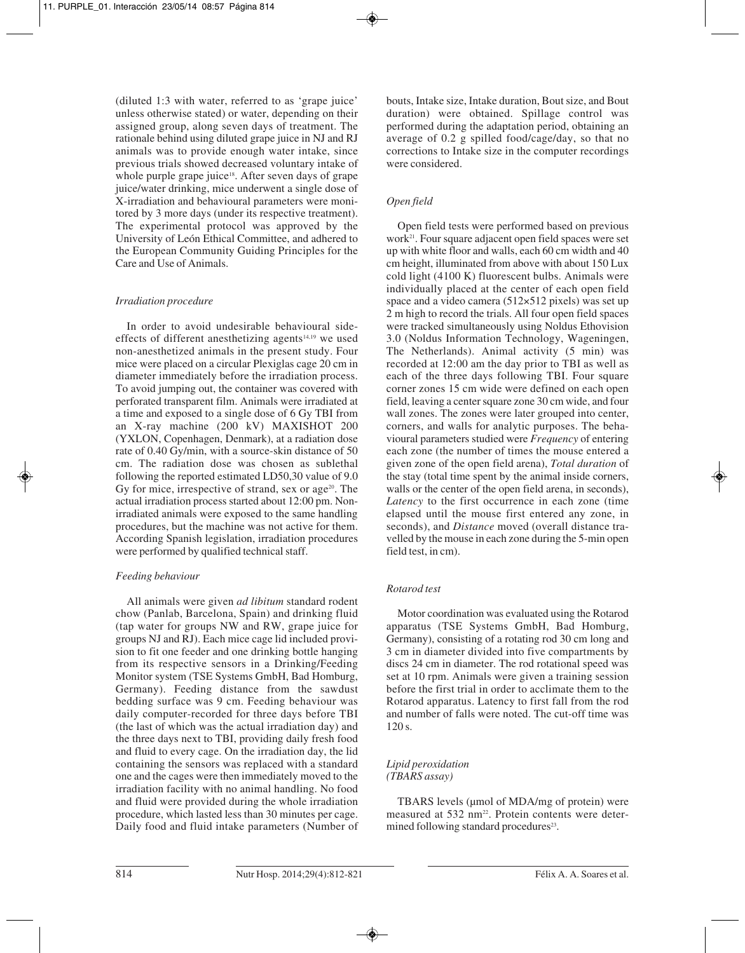(diluted 1:3 with water, referred to as 'grape juice' unless otherwise stated) or water, depending on their assigned group, along seven days of treatment. The rationale behind using diluted grape juice in NJ and RJ animals was to provide enough water intake, since previous trials showed decreased voluntary intake of whole purple grape juice<sup>18</sup>. After seven days of grape juice/water drinking, mice underwent a single dose of X-irradiation and behavioural parameters were monitored by 3 more days (under its respective treatment). The experimental protocol was approved by the University of León Ethical Committee, and adhered to the European Community Guiding Principles for the Care and Use of Animals.

## *Irradiation procedure*

In order to avoid undesirable behavioural sideeffects of different anesthetizing agents $14,19$  we used non-anesthetized animals in the present study. Four mice were placed on a circular Plexiglas cage 20 cm in diameter immediately before the irradiation process. To avoid jumping out, the container was covered with perforated transparent film. Animals were irradiated at a time and exposed to a single dose of 6 Gy TBI from an X-ray machine (200 kV) MAXISHOT 200 (YXLON, Copenhagen, Denmark), at a radiation dose rate of 0.40 Gy/min, with a source-skin distance of 50 cm. The radiation dose was chosen as sublethal following the reported estimated LD50,30 value of 9.0 Gy for mice, irrespective of strand, sex or age $20$ . The actual irradiation process started about 12:00 pm. Nonirradiated animals were exposed to the same handling procedures, but the machine was not active for them. According Spanish legislation, irradiation procedures were performed by qualified technical staff.

# *Feeding behaviour*

All animals were given *ad libitum* standard rodent chow (Panlab, Barcelona, Spain) and drinking fluid (tap water for groups NW and RW, grape juice for groups NJ and RJ). Each mice cage lid included provision to fit one feeder and one drinking bottle hanging from its respective sensors in a Drinking/Feeding Monitor system (TSE Systems GmbH, Bad Homburg, Germany). Feeding distance from the sawdust bedding surface was 9 cm. Feeding behaviour was daily computer-recorded for three days before TBI (the last of which was the actual irradiation day) and the three days next to TBI, providing daily fresh food and fluid to every cage. On the irradiation day, the lid containing the sensors was replaced with a standard one and the cages were then immediately moved to the irradiation facility with no animal handling. No food and fluid were provided during the whole irradiation procedure, which lasted less than 30 minutes per cage. Daily food and fluid intake parameters (Number of bouts, Intake size, Intake duration, Bout size, and Bout duration) were obtained. Spillage control was performed during the adaptation period, obtaining an average of 0.2 g spilled food/cage/day, so that no corrections to Intake size in the computer recordings were considered.

# *Open field*

Open field tests were performed based on previous work<sup>21</sup>. Four square adjacent open field spaces were set up with white floor and walls, each 60 cm width and 40 cm height, illuminated from above with about 150 Lux cold light (4100 K) fluorescent bulbs. Animals were individually placed at the center of each open field space and a video camera (512×512 pixels) was set up 2 m high to record the trials. All four open field spaces were tracked simultaneously using Noldus Ethovision 3.0 (Noldus Information Technology, Wageningen, The Netherlands). Animal activity (5 min) was recorded at 12:00 am the day prior to TBI as well as each of the three days following TBI. Four square corner zones 15 cm wide were defined on each open field, leaving a center square zone 30 cm wide, and four wall zones. The zones were later grouped into center, corners, and walls for analytic purposes. The behavioural parameters studied were *Frequency* of entering each zone (the number of times the mouse entered a given zone of the open field arena), *Total duration* of the stay (total time spent by the animal inside corners, walls or the center of the open field arena, in seconds), *Latency* to the first occurrence in each zone (time elapsed until the mouse first entered any zone, in seconds), and *Distance* moved (overall distance travelled by the mouse in each zone during the 5-min open field test, in cm).

# *Rotarod test*

Motor coordination was evaluated using the Rotarod apparatus (TSE Systems GmbH, Bad Homburg, Germany), consisting of a rotating rod 30 cm long and 3 cm in diameter divided into five compartments by discs 24 cm in diameter. The rod rotational speed was set at 10 rpm. Animals were given a training session before the first trial in order to acclimate them to the Rotarod apparatus. Latency to first fall from the rod and number of falls were noted. The cut-off time was  $120 s.$ 

# *Lipid peroxidation (TBARS assay)*

TBARS levels (µmol of MDA/mg of protein) were measured at 532 nm<sup>22</sup>. Protein contents were determined following standard procedures<sup>23</sup>.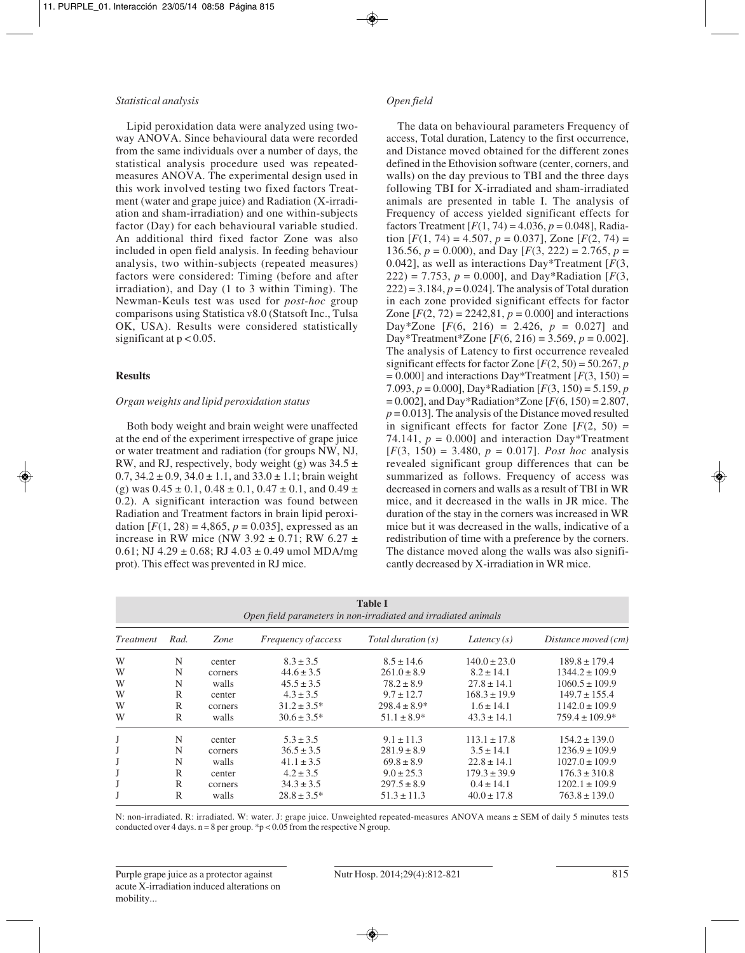## *Statistical analysis*

Lipid peroxidation data were analyzed using twoway ANOVA. Since behavioural data were recorded from the same individuals over a number of days, the statistical analysis procedure used was repeatedmeasures ANOVA. The experimental design used in this work involved testing two fixed factors Treatment (water and grape juice) and Radiation (X-irradiation and sham-irradiation) and one within-subjects factor (Day) for each behavioural variable studied. An additional third fixed factor Zone was also included in open field analysis. In feeding behaviour analysis, two within-subjects (repeated measures) factors were considered: Timing (before and after irradiation), and Day (1 to 3 within Timing). The Newman-Keuls test was used for *post-hoc* group comparisons using Statistica v8.0 (Statsoft Inc., Tulsa OK, USA). Results were considered statistically significant at  $p < 0.05$ .

## **Results**

## *Organ weights and lipid peroxidation status*

Both body weight and brain weight were unaffected at the end of the experiment irrespective of grape juice or water treatment and radiation (for groups NW, NJ, RW, and RJ, respectively, body weight (g) was  $34.5 \pm$  $0.7, 34.2 \pm 0.9, 34.0 \pm 1.1,$  and  $33.0 \pm 1.1$ ; brain weight (g) was  $0.45 \pm 0.1$ ,  $0.48 \pm 0.1$ ,  $0.47 \pm 0.1$ , and  $0.49 \pm 0.1$ 0.2). A significant interaction was found between Radiation and Treatment factors in brain lipid peroxidation  $[F(1, 28) = 4,865, p = 0.035]$ , expressed as an increase in RW mice (NW  $3.92 \pm 0.71$ ; RW  $6.27 \pm$  $0.61$ ; NJ  $4.29 \pm 0.68$ ; RJ  $4.03 \pm 0.49$  umol MDA/mg prot). This effect was prevented in RJ mice.

## *Open field*

The data on behavioural parameters Frequency of access, Total duration, Latency to the first occurrence, and Distance moved obtained for the different zones defined in the Ethovision software (center, corners, and walls) on the day previous to TBI and the three days following TBI for X-irradiated and sham-irradiated animals are presented in table I. The analysis of Frequency of access yielded significant effects for factors Treatment  $[F(1, 74) = 4.036, p = 0.048]$ , Radiation  $[F(1, 74) = 4.507, p = 0.037]$ , Zone  $[F(2, 74) =$ 136.56,  $p = 0.000$ , and Day  $[F(3, 222) = 2.765, p =$ 0.042], as well as interactions Day\*Treatment [*F*(3, 222) = 7.753,  $p = 0.000$ , and Day\*Radiation [ $F(3, 1)$ ]  $222$ ) = 3.184,  $p = 0.024$ . The analysis of Total duration in each zone provided significant effects for factor Zone  $[F(2, 72) = 2242, 81, p = 0.000]$  and interactions Day\*Zone  $[F(6, 216) = 2.426, p = 0.027]$  and Day\*Treatment\*Zone  $[F(6, 216) = 3.569, p = 0.002]$ . The analysis of Latency to first occurrence revealed significant effects for factor Zone  $[F(2, 50) = 50.267, p$  $= 0.000$ ] and interactions Day\*Treatment [ $F(3, 150) =$ 7.093, *p* = 0.000], Day\*Radiation [*F*(3, 150) = 5.159, *p*  $= 0.002$ ], and Day\*Radiation\*Zone [ $F(6, 150) = 2.807$ ,  $p = 0.013$ . The analysis of the Distance moved resulted in significant effects for factor Zone  $[F(2, 50) =$ 74.141,  $p = 0.000$ ] and interaction Day\*Treatment  $[F(3, 150) = 3.480, p = 0.017]$ . *Post hoc* analysis revealed significant group differences that can be summarized as follows. Frequency of access was decreased in corners and walls as a result of TBI in WR mice, and it decreased in the walls in JR mice. The duration of the stay in the corners was increased in WR mice but it was decreased in the walls, indicative of a redistribution of time with a preference by the corners. The distance moved along the walls was also significantly decreased by X-irradiation in WR mice.

| <b>Table I</b><br>Open field parameters in non-irradiated and irradiated animals |      |         |                     |                    |                  |                     |  |  |  |  |
|----------------------------------------------------------------------------------|------|---------|---------------------|--------------------|------------------|---------------------|--|--|--|--|
| <i>Treatment</i>                                                                 | Rad. | Zone    | Frequency of access | Total duration (s) | Latency $(s)$    | Distance moved (cm) |  |  |  |  |
| W                                                                                | N    | center  | $8.3 \pm 3.5$       | $8.5 \pm 14.6$     | $140.0 \pm 23.0$ | $189.8 \pm 179.4$   |  |  |  |  |
| W                                                                                | N    | corners | $44.6 \pm 3.5$      | $261.0 \pm 8.9$    | $8.2 \pm 14.1$   | $1344.2 \pm 109.9$  |  |  |  |  |
| W                                                                                | N    | walls   | $45.5 \pm 3.5$      | $78.2 \pm 8.9$     | $27.8 \pm 14.1$  | $1060.5 \pm 109.9$  |  |  |  |  |
| W                                                                                | R    | center  | $4.3 \pm 3.5$       | $9.7 \pm 12.7$     | $168.3 \pm 19.9$ | $149.7 \pm 155.4$   |  |  |  |  |
| W                                                                                | R    | corners | $31.2 \pm 3.5^*$    | $298.4 \pm 8.9^*$  | $1.6 \pm 14.1$   | $1142.0 \pm 109.9$  |  |  |  |  |
| W                                                                                | R    | walls   | $30.6 \pm 3.5^*$    | $51.1 \pm 8.9*$    | $43.3 \pm 14.1$  | $759.4 \pm 109.9^*$ |  |  |  |  |
| J                                                                                | N    | center  | $5.3 \pm 3.5$       | $9.1 \pm 11.3$     | $113.1 \pm 17.8$ | $154.2 \pm 139.0$   |  |  |  |  |
| J                                                                                | N    | corners | $36.5 \pm 3.5$      | $281.9 \pm 8.9$    | $3.5 \pm 14.1$   | $1236.9 \pm 109.9$  |  |  |  |  |
| J                                                                                | N    | walls   | $41.1 \pm 3.5$      | $69.8 \pm 8.9$     | $22.8 \pm 14.1$  | $1027.0 \pm 109.9$  |  |  |  |  |
| J                                                                                | R    | center  | $4.2 \pm 3.5$       | $9.0 \pm 25.3$     | $179.3 \pm 39.9$ | $176.3 \pm 310.8$   |  |  |  |  |
| J                                                                                | R    | corners | $34.3 \pm 3.5$      | $297.5 \pm 8.9$    | $0.4 \pm 14.1$   | $1202.1 \pm 109.9$  |  |  |  |  |
|                                                                                  | R    | walls   | $28.8 \pm 3.5^*$    | $51.3 \pm 11.3$    | $40.0 \pm 17.8$  | $763.8 \pm 139.0$   |  |  |  |  |

N: non-irradiated. R: irradiated. W: water. J: grape juice. Unweighted repeated-measures ANOVA means ± SEM of daily 5 minutes tests conducted over 4 days.  $n = 8$  per group. \*p < 0.05 from the respective N group.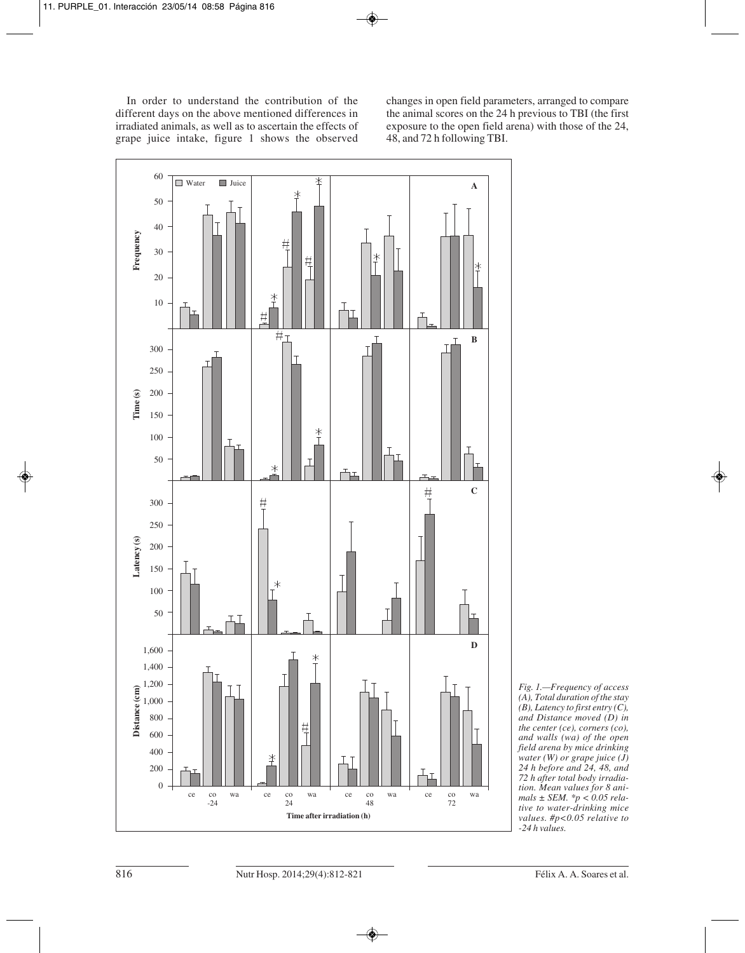In order to understand the contribution of the different days on the above mentioned differences in irradiated animals, as well as to ascertain the effects of grape juice intake, figure 1 shows the observed changes in open field parameters, arranged to compare the animal scores on the 24 h previous to TBI (the first exposure to the open field arena) with those of the 24, 48, and 72 h following TBI.



*Fig. 1.—Frequency of access (A), Total duration of the stay (B), Latency to first entry (C), and Distance moved (D) in the center (ce), corners (co), and walls (wa) of the open field arena by mice drinking water (W) or grape juice (J) 24 h before and 24, 48, and 72 h after total body irradiation. Mean values for 8 animals ± SEM. \*p < 0.05 relative to water-drinking mice values. #p<0.05 relative to -24 h values.*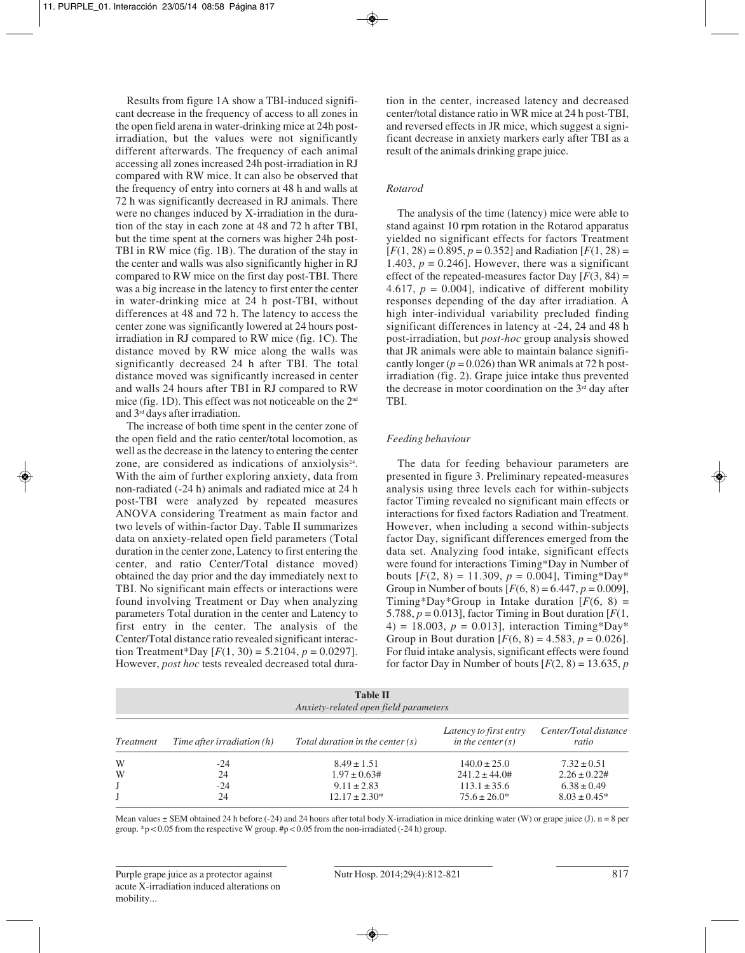Results from figure 1A show a TBI-induced significant decrease in the frequency of access to all zones in the open field arena in water-drinking mice at 24h postirradiation, but the values were not significantly different afterwards. The frequency of each animal accessing all zones increased 24h post-irradiation in RJ compared with RW mice. It can also be observed that the frequency of entry into corners at 48 h and walls at 72 h was significantly decreased in RJ animals. There were no changes induced by X-irradiation in the duration of the stay in each zone at 48 and 72 h after TBI, but the time spent at the corners was higher 24h post-TBI in RW mice (fig. 1B). The duration of the stay in the center and walls was also significantly higher in RJ compared to RW mice on the first day post-TBI. There was a big increase in the latency to first enter the center in water-drinking mice at 24 h post-TBI, without differences at 48 and 72 h. The latency to access the center zone was significantly lowered at 24 hours postirradiation in RJ compared to RW mice (fig. 1C). The distance moved by RW mice along the walls was significantly decreased 24 h after TBI. The total distance moved was significantly increased in center and walls 24 hours after TBI in RJ compared to RW mice (fig. 1D). This effect was not noticeable on the 2nd and 3rd days after irradiation.

The increase of both time spent in the center zone of the open field and the ratio center/total locomotion, as well as the decrease in the latency to entering the center zone, are considered as indications of anxiolysis<sup>24</sup>. With the aim of further exploring anxiety, data from non-radiated (-24 h) animals and radiated mice at 24 h post-TBI were analyzed by repeated measures ANOVA considering Treatment as main factor and two levels of within-factor Day. Table II summarizes data on anxiety-related open field parameters (Total duration in the center zone, Latency to first entering the center, and ratio Center/Total distance moved) obtained the day prior and the day immediately next to TBI. No significant main effects or interactions were found involving Treatment or Day when analyzing parameters Total duration in the center and Latency to first entry in the center. The analysis of the Center/Total distance ratio revealed significant interaction Treatment\*Day  $[F(1, 30) = 5.2104, p = 0.0297]$ . However, *post hoc* tests revealed decreased total duration in the center, increased latency and decreased center/total distance ratio in WR mice at 24 h post-TBI, and reversed effects in JR mice, which suggest a significant decrease in anxiety markers early after TBI as a result of the animals drinking grape juice.

## *Rotarod*

The analysis of the time (latency) mice were able to stand against 10 rpm rotation in the Rotarod apparatus yielded no significant effects for factors Treatment  $[F(1, 28) = 0.895, p = 0.352]$  and Radiation  $[F(1, 28) =$ 1.403,  $p = 0.246$ . However, there was a significant effect of the repeated-measures factor Day  $[F(3, 84) =$ 4.617,  $p = 0.004$ ], indicative of different mobility responses depending of the day after irradiation. A high inter-individual variability precluded finding significant differences in latency at -24, 24 and 48 h post-irradiation, but *post-hoc* group analysis showed that JR animals were able to maintain balance significantly longer  $(p = 0.026)$  than WR animals at 72 h postirradiation (fig. 2). Grape juice intake thus prevented the decrease in motor coordination on the  $3<sup>rd</sup>$  day after TBI.

#### *Feeding behaviour*

The data for feeding behaviour parameters are presented in figure 3. Preliminary repeated-measures analysis using three levels each for within-subjects factor Timing revealed no significant main effects or interactions for fixed factors Radiation and Treatment. However, when including a second within-subjects factor Day, significant differences emerged from the data set. Analyzing food intake, significant effects were found for interactions Timing\*Day in Number of bouts  $[F(2, 8) = 11.309, p = 0.004]$ , Timing\*Day\* Group in Number of bouts  $[F(6, 8) = 6.447, p = 0.009]$ , Timing\*Day\*Group in Intake duration  $[F(6, 8) =$ 5.788,  $p = 0.013$ ], factor Timing in Bout duration  $[F(1,$ 4) = 18.003,  $p = 0.013$ ], interaction Timing\*Day\* Group in Bout duration  $[F(6, 8) = 4.583, p = 0.026]$ . For fluid intake analysis, significant effects were found for factor Day in Number of bouts  $[F(2, 8) = 13.635, p]$ 

| <b>Table II</b><br>Anxiety-related open field parameters |                            |                                    |                                               |                                |  |  |  |  |
|----------------------------------------------------------|----------------------------|------------------------------------|-----------------------------------------------|--------------------------------|--|--|--|--|
| <i>Treatment</i>                                         | Time after irradiation (h) | Total duration in the center $(s)$ | Latency to first entry<br>in the center $(s)$ | Center/Total distance<br>ratio |  |  |  |  |
| W                                                        | -24                        | $8.49 \pm 1.51$                    | $140.0 \pm 25.0$                              | $7.32 \pm 0.51$                |  |  |  |  |
| W                                                        | 24                         | $1.97 \pm 0.63$ #                  | $241.2 \pm 44.0#$                             | $2.26 \pm 0.22$ #              |  |  |  |  |
|                                                          | $-24$                      | $9.11 \pm 2.83$                    | $113.1 \pm 35.6$                              | $6.38 \pm 0.49$                |  |  |  |  |
|                                                          | 24                         | $12.17 \pm 2.30*$                  | $75.6 \pm 26.0^*$                             | $8.03 \pm 0.45^*$              |  |  |  |  |

Mean values  $\pm$  SEM obtained 24 h before (-24) and 24 hours after total body X-irradiation in mice drinking water (W) or grape juice (J). n = 8 per group. \*p < 0.05 from the respective W group.  $\#p$  < 0.05 from the non-irradiated (-24 h) group.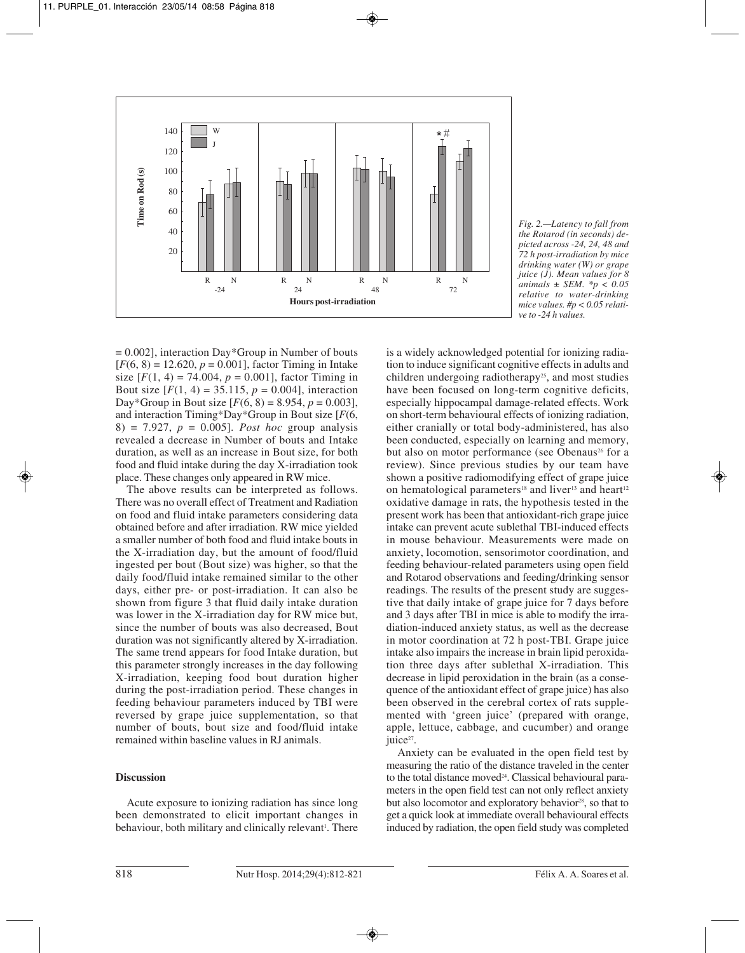

*Fig. 2.—Latency to fall from the Rotarod (in seconds) depicted across -24, 24, 48 and 72 h post-irradiation by mice drinking water (W) or grape juice (J). Mean values for 8 animals ± SEM. \*p < 0.05 relative to water-drinking mice values. #p < 0.05 relative to -24 h values.*

 $= 0.002$ ], interaction Day\*Group in Number of bouts  $[F(6, 8) = 12.620, p = 0.001]$ , factor Timing in Intake size  $[F(1, 4) = 74.004, p = 0.001]$ , factor Timing in Bout size  $[F(1, 4) = 35.115, p = 0.004]$ , interaction Day\*Group in Bout size  $[F(6, 8) = 8.954, p = 0.003]$ , and interaction Timing\*Day\*Group in Bout size [*F*(6, 8) = 7.927, *p* = 0.005]. *Post hoc* group analysis revealed a decrease in Number of bouts and Intake duration, as well as an increase in Bout size, for both food and fluid intake during the day X-irradiation took place. These changes only appeared in RW mice.

The above results can be interpreted as follows. There was no overall effect of Treatment and Radiation on food and fluid intake parameters considering data obtained before and after irradiation. RW mice yielded a smaller number of both food and fluid intake bouts in the X-irradiation day, but the amount of food/fluid ingested per bout (Bout size) was higher, so that the daily food/fluid intake remained similar to the other days, either pre- or post-irradiation. It can also be shown from figure 3 that fluid daily intake duration was lower in the X-irradiation day for RW mice but, since the number of bouts was also decreased, Bout duration was not significantly altered by X-irradiation. The same trend appears for food Intake duration, but this parameter strongly increases in the day following X-irradiation, keeping food bout duration higher during the post-irradiation period. These changes in feeding behaviour parameters induced by TBI were reversed by grape juice supplementation, so that number of bouts, bout size and food/fluid intake remained within baseline values in RJ animals.

## **Discussion**

Acute exposure to ionizing radiation has since long been demonstrated to elicit important changes in behaviour, both military and clinically relevant<sup>1</sup>. There

is a widely acknowledged potential for ionizing radiation to induce significant cognitive effects in adults and children undergoing radiotherapy<sup>25</sup>, and most studies have been focused on long-term cognitive deficits, especially hippocampal damage-related effects. Work on short-term behavioural effects of ionizing radiation, either cranially or total body-administered, has also been conducted, especially on learning and memory, but also on motor performance (see Obenaus<sup>26</sup> for a review). Since previous studies by our team have shown a positive radiomodifying effect of grape juice on hematological parameters<sup>18</sup> and liver<sup>13</sup> and heart<sup>12</sup> oxidative damage in rats, the hypothesis tested in the present work has been that antioxidant-rich grape juice intake can prevent acute sublethal TBI-induced effects in mouse behaviour. Measurements were made on anxiety, locomotion, sensorimotor coordination, and feeding behaviour-related parameters using open field and Rotarod observations and feeding/drinking sensor readings. The results of the present study are suggestive that daily intake of grape juice for 7 days before and 3 days after TBI in mice is able to modify the irradiation-induced anxiety status, as well as the decrease in motor coordination at 72 h post-TBI. Grape juice intake also impairs the increase in brain lipid peroxidation three days after sublethal X-irradiation. This decrease in lipid peroxidation in the brain (as a consequence of the antioxidant effect of grape juice) has also been observed in the cerebral cortex of rats supplemented with 'green juice' (prepared with orange, apple, lettuce, cabbage, and cucumber) and orange juice<sup>27</sup>.

Anxiety can be evaluated in the open field test by measuring the ratio of the distance traveled in the center to the total distance moved<sup>24</sup>. Classical behavioural parameters in the open field test can not only reflect anxiety but also locomotor and exploratory behavior<sup>28</sup>, so that to get a quick look at immediate overall behavioural effects induced by radiation, the open field study was completed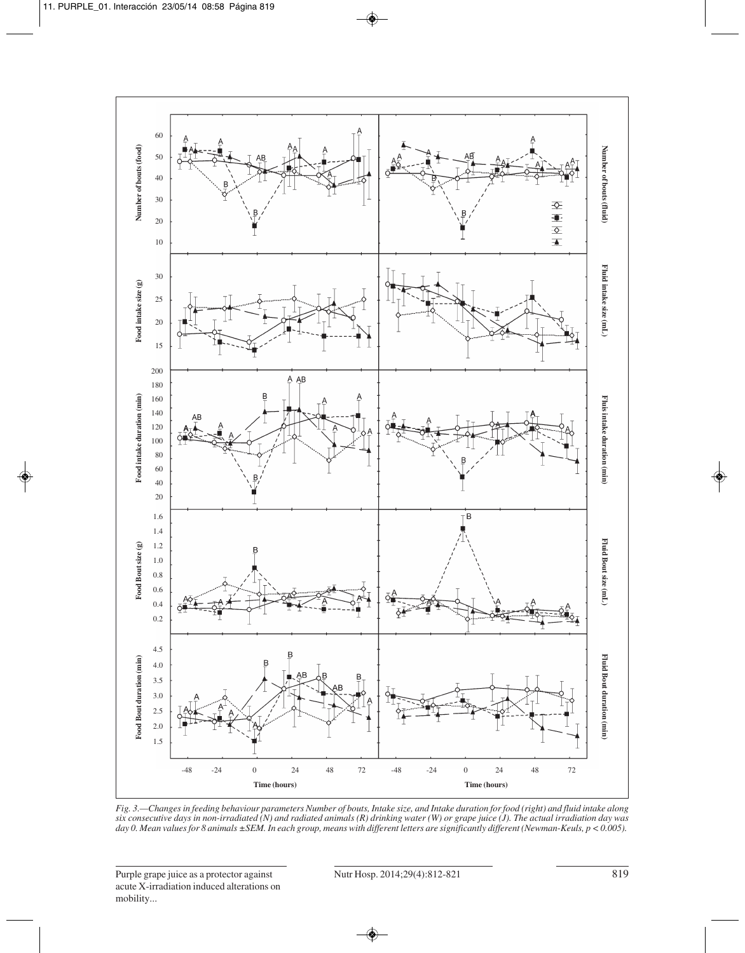

*Fig. 3.—Changes in feeding behaviour parameters Number of bouts, Intake size, and Intake duration for food (right) and fluid intake along six consecutive days in non-irradiated (N) and radiated animals (R) drinking water (W) or grape juice (J). The actual irradiation day was day 0. Mean values for 8 animals ±SEM. In each group, means with different letters are significantly different (Newman-Keuls, p < 0.005).*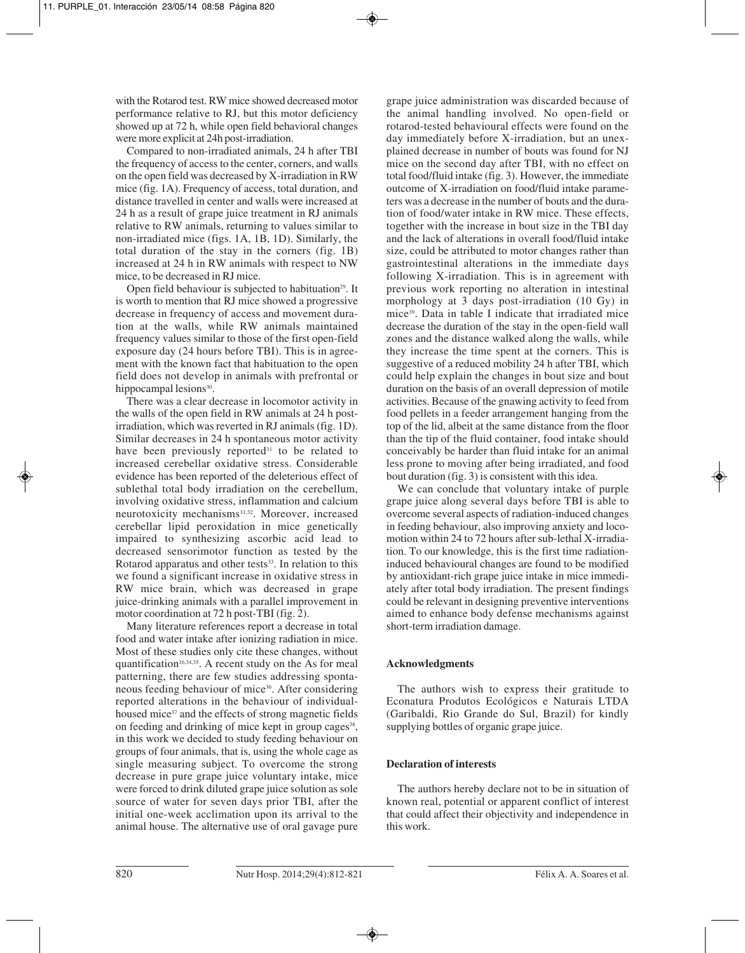with the Rotarod test. RW mice showed decreased motor performance relative to RJ, but this motor deficiency showed up at 72 h, while open field behavioral changes were more explicit at 24h post-irradiation.

Compared to non-irradiated animals, 24 h after TBI the frequency of access to the center, corners, and walls on the open field was decreased by X-irradiation in RW mice (fig. 1A). Frequency of access, total duration, and distance travelled in center and walls were increased at 24 h as a result of grape juice treatment in RJ animals relative to RW animals, returning to values similar to non-irradiated mice (figs. 1A, 1B, 1D). Similarly, the total duration of the stay in the corners (fig. 1B) increased at 24 h in RW animals with respect to NW mice, to be decreased in RJ mice.

Open field behaviour is subjected to habituation<sup>29</sup>. It is worth to mention that RJ mice showed a progressive decrease in frequency of access and movement duration at the walls, while RW animals maintained frequency values similar to those of the first open-field exposure day (24 hours before TBI). This is in agreement with the known fact that habituation to the open field does not develop in animals with prefrontal or hippocampal lesions<sup>30</sup>.

There was a clear decrease in locomotor activity in the walls of the open field in RW animals at 24 h postirradiation, which was reverted in RJ animals (fig. 1D). Similar decreases in 24 h spontaneous motor activity have been previously reported $31$  to be related to increased cerebellar oxidative stress. Considerable evidence has been reported of the deleterious effect of sublethal total body irradiation on the cerebellum, involving oxidative stress, inflammation and calcium neurotoxicity mechanisms<sup>31,32</sup>. Moreover, increased cerebellar lipid peroxidation in mice genetically impaired to synthesizing ascorbic acid lead to decreased sensorimotor function as tested by the Rotarod apparatus and other tests<sup>33</sup>. In relation to this we found a significant increase in oxidative stress in RW mice brain, which was decreased in grape juice-drinking animals with a parallel improvement in motor coordination at 72 h post-TBI (fig. 2).

Many literature references report a decrease in total food and water intake after ionizing radiation in mice. Most of these studies only cite these changes, without quantification<sup>16,34,35</sup>. A recent study on the As for meal patterning, there are few studies addressing spontaneous feeding behaviour of mice<sup>36</sup>. After considering reported alterations in the behaviour of individualhoused mice<sup>37</sup> and the effects of strong magnetic fields on feeding and drinking of mice kept in group cages<sup>38</sup>, in this work we decided to study feeding behaviour on groups of four animals, that is, using the whole cage as single measuring subject. To overcome the strong decrease in pure grape juice voluntary intake, mice were forced to drink diluted grape juice solution as sole source of water for seven days prior TBI, after the initial one-week acclimation upon its arrival to the animal house. The alternative use of oral gavage pure

grape juice administration was discarded because of the animal handling involved. No open-field or rotarod-tested behavioural effects were found on the day immediately before X-irradiation, but an unexplained decrease in number of bouts was found for NJ mice on the second day after TBI, with no effect on total food/fluid intake (fig. 3). However, the immediate outcome of X-irradiation on food/fluid intake parameters was a decrease in the number of bouts and the duration of food/water intake in RW mice. These effects, together with the increase in bout size in the TBI day and the lack of alterations in overall food/fluid intake size, could be attributed to motor changes rather than gastrointestinal alterations in the immediate days following X-irradiation. This is in agreement with previous work reporting no alteration in intestinal morphology at 3 days post-irradiation (10 Gy) in mice39. Data in table I indicate that irradiated mice decrease the duration of the stay in the open-field wall zones and the distance walked along the walls, while they increase the time spent at the corners. This is suggestive of a reduced mobility 24 h after TBI, which could help explain the changes in bout size and bout duration on the basis of an overall depression of motile activities. Because of the gnawing activity to feed from food pellets in a feeder arrangement hanging from the top of the lid, albeit at the same distance from the floor than the tip of the fluid container, food intake should conceivably be harder than fluid intake for an animal less prone to moving after being irradiated, and food bout duration (fig. 3) is consistent with this idea.

We can conclude that voluntary intake of purple grape juice along several days before TBI is able to overcome several aspects of radiation-induced changes in feeding behaviour, also improving anxiety and locomotion within 24 to 72 hours after sub-lethal X-irradiation. To our knowledge, this is the first time radiationinduced behavioural changes are found to be modified by antioxidant-rich grape juice intake in mice immediately after total body irradiation. The present findings could be relevant in designing preventive interventions aimed to enhance body defense mechanisms against short-term irradiation damage.

## **Acknowledgments**

The authors wish to express their gratitude to Econatura Produtos Ecológicos e Naturais LTDA (Garibaldi, Rio Grande do Sul, Brazil) for kindly supplying bottles of organic grape juice.

# **Declaration of interests**

The authors hereby declare not to be in situation of known real, potential or apparent conflict of interest that could affect their objectivity and independence in this work.